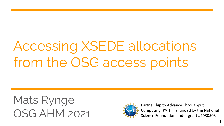# Accessing XSEDE allocations from the OSG access points

Mats Rynge OSG AHM 2021



Partnership to Advance Throughput Computing (PATh) is funded by the National Science Foundation under grant #2030508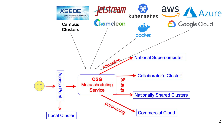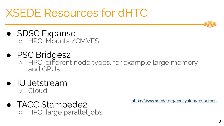## XSEDE Resources for dHTC

- SDSC Expanse ○ HPC, Mounts /CMVFS
- PSC Bridges2
	- HPC, different node types, for example large memory and GPUs
- IU Jetstream ○ Cloud
- TACC Stampede2 ○ HPC, large parallel jobs

<https://www.xsede.org/ecosystem/resources>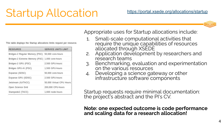### Startup Allocation

This table displays the Startup allocations limits request per resource.

| <b>RESOURCE</b>                                  | <b>SERVICE UNITS LIMIT</b> |
|--------------------------------------------------|----------------------------|
| Bridges-2 Regular Memory (PSC) 50,000 core-hours |                            |
| Bridges-2 Extreme Memory (PSC) 1,000 core-hours  |                            |
| Bridges-2 GPU (PSC)                              | 2,500 GPU-hours            |
| Bridges GPU-AI (PSC)                             | 1,500 GPU-hours            |
| Expanse (SDSC)                                   | 50,000 core-hours          |
| Expanse GPU (SDSC)                               | 2,500 GPU-hours            |
| Jetstream (IU/TACC)                              | 50,000 Virtual CPU Hours   |
| Open Science Grid                                | 200,000 CPU-hours          |
| Stampede2 (TACC)                                 | 1,600 node-hours           |

Appropriate uses for Startup allocations include:

- 1. Small-scale computational activities that require the unique capabilities of resources allocated through XSEDE
- 2. Application development by researchers and research teams
- 3. Benchmarking, evaluation and experimentation on the various resources
- 4. Developing a science gateway or other infrastructure software components

Startup requests require minimal documentation: the project's abstract and the PI's CV.

**Note: one expected outcome is code performance and scaling data for a research allocation!**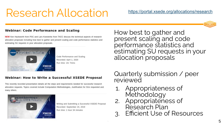### Research Allocation

#### **Webinar: Code Performance and Scaling**

NEW Ken Hackworth from PSC and Lars Koesterke from TACC discuss the technical aspects of research allocation proposals including how best to gather and present scaling and code performance statistics and estimating SU requests in your allocation proposals.



Code Performance and Scaling Recorded: April 1, 2020 Run time: 1hr 7mins

#### **Webinar: How to Write a Successful XSEDE Proposal**

This recently recorded presentation details all the steps and requirements needed for successful research allocation requests. Topics covered include Computation Methodologies, Justification for SUs requested and many others.



Writing and Submitting a Successful XSEDE Proposal Recorded: September 24, 2019 Run time: 1 hour 34 minutes

How best to gather and present scaling and code performance statistics and estimating SU requests in your allocation proposals

Quarterly submission / peer reviewed

- 1. Appropriateness of Methodology
- 2. Appropriateness of Research Plan
- Efficient Use of Resources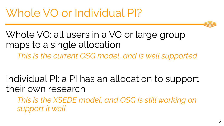Whole VO: all users in a VO or large group maps to a single allocation

*This is the current OSG model, and is well supported*

Individual PI: a PI has an allocation to support their own research

*This is the XSEDE model, and OSG is still working on support it well*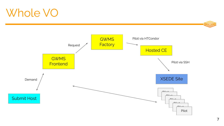### Whole VO

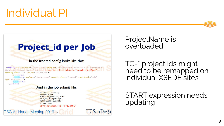## Individual PI



#### In the fronted config looks like this:

<security classad\_proxy="/tmp/vo\_proxy" proxy\_DN="/DC=com/DC=DigiCert-Grid/0=0pen Science Grid/ 0U=Services/CN=osg-ligo-1.t2.ucsd.edu" proxy\_selection\_plugin="ProxyProjectName" security\_name="LIGO" sym\_key="aes\_256\_cbc">

<credentials>

OSG All Hands Meeting 2016 6

<credential absfname="/tmp/vo\_proxy" security\_class="frontend" trust\_domain="grid"

type="grid\_proxy"/> </credentials> </security>

#### And in the job submit file:

 $executable = /bin / sleep$  $arguments = 1600$ error = test-\$(Process).error  $log = test-S(Process).log$ output = test-\$(Process).out +DESIRED\_Sites="Stampede"  $+is$  itb = True +ProjectName="TG-PHY123456"

**UC San Diego** 

ProjectName is overloaded

TG-\* project ids might need to be remapped on individual XSEDE sites

START expression needs updating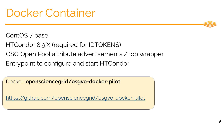### Docker Container

#### CentOS 7 base

- HTCondor 8.9.X (required for IDTOKENS)
- OSG Open Pool attribute advertisements / job wrapper
- Entrypoint to configure and start HTCondor

Docker: **opensciencegrid/osgvo-docker-pilot**

<https://github.com/opensciencegrid/osgvo-docker-pilot>